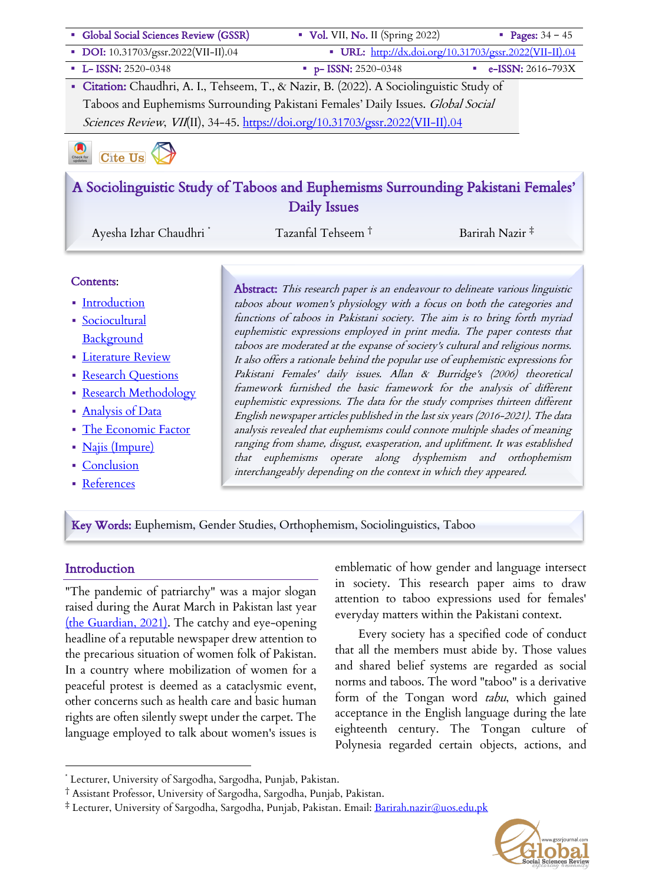

■ References

Key Words: Euphemism, Gender Studies, Orthophemism, Sociolinguistics, Taboo

#### **Introduction**

"The pandemic of patriarchy" was a major slogan raised during the Aurat March in Pakistan last year (the Guardian, 2021). The catchy and eye-opening headline of a reputable newspaper drew attention to the precarious situation of women folk of Pakistan. In a country where mobilization of women for a peaceful protest is deemed as a cataclysmic event, other concerns such as health care and basic human rights are often silently swept under the carpet. The language employed to talk about women's issues is emblematic of how gender and language intersect in society. This research paper aims to draw attention to taboo expressions used for females' everyday matters within the Pakistani context.

Every society has a specified code of conduct that all the members must abide by. Those values and shared belief systems are regarded as social norms and taboos. The word "taboo" is a derivative form of the Tongan word tabu, which gained acceptance in the English language during the late eighteenth century. The Tongan culture of Polynesia regarded certain objects, actions, and

<sup>‡</sup> Lecturer, University of Sargodha, Sargodha, Punjab, Pakistan. Email: Barirah.nazir@uos.edu.pk



<sup>\*</sup> Lecturer, University of Sargodha, Sargodha, Punjab, Pakistan.

<sup>†</sup> Assistant Professor, University of Sargodha, Sargodha, Punjab, Pakistan.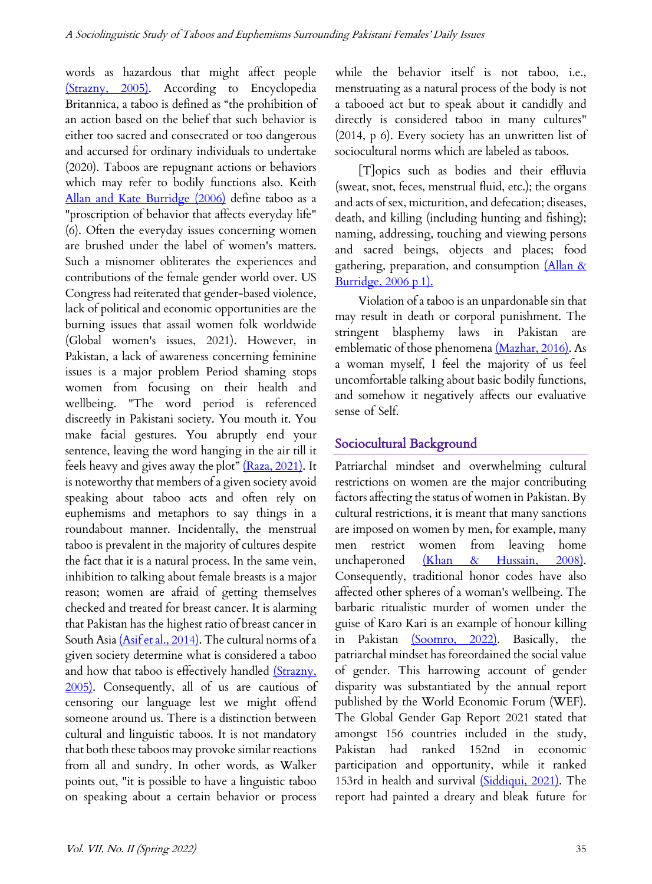words as hazardous that might affect people (Strazny, 2005). According to Encyclopedia Britannica, a taboo is defined as "the prohibition of an action based on the belief that such behavior is either too sacred and consecrated or too dangerous and accursed for ordinary individuals to undertake (2020). Taboos are repugnant actions or behaviors which may refer to bodily functions also. Keith Allan and Kate Burridge (2006) define taboo as a "proscription of behavior that affects everyday life" (6). Often the everyday issues concerning women are brushed under the label of women's matters. Such a misnomer obliterates the experiences and contributions of the female gender world over. US Congress had reiterated that gender-based violence, lack of political and economic opportunities are the burning issues that assail women folk worldwide (Global women's issues, 2021). However, in Pakistan, a lack of awareness concerning feminine issues is a major problem Period shaming stops women from focusing on their health and wellbeing. "The word period is referenced discreetly in Pakistani society. You mouth it. You make facial gestures. You abruptly end your sentence, leaving the word hanging in the air till it feels heavy and gives away the plot"  $(Raza, 2021)$ . It is noteworthy that members of a given society avoid speaking about taboo acts and often rely on euphemisms and metaphors to say things in a roundabout manner. Incidentally, the menstrual taboo is prevalent in the majority of cultures despite the fact that it is a natural process. In the same vein, inhibition to talking about female breasts is a major reason; women are afraid of getting themselves checked and treated for breast cancer. It is alarming that Pakistan has the highest ratio of breast cancer in South Asia (Asif et al., 2014). The cultural norms of a given society determine what is considered a taboo and how that taboo is effectively handled (Strazny, 2005). Consequently, all of us are cautious of censoring our language lest we might offend someone around us. There is a distinction between cultural and linguistic taboos. It is not mandatory that both these taboos may provoke similar reactions from all and sundry. In other words, as Walker points out, "it is possible to have a linguistic taboo on speaking about a certain behavior or process while the behavior itself is not taboo, i.e., menstruating as a natural process of the body is not a tabooed act but to speak about it candidly and directly is considered taboo in many cultures" (2014, p 6). Every society has an unwritten list of sociocultural norms which are labeled as taboos.

[T]opics such as bodies and their effluvia (sweat, snot, feces, menstrual fluid, etc.); the organs and acts of sex, micturition, and defecation; diseases, death, and killing (including hunting and fishing); naming, addressing, touching and viewing persons and sacred beings, objects and places; food gathering, preparation, and consumption  $\Delta \ln \alpha$ Burridge, 2006 p 1).

Violation of a taboo is an unpardonable sin that may result in death or corporal punishment. The stringent blasphemy laws in Pakistan are emblematic of those phenomena (Mazhar, 2016). As a woman myself, I feel the majority of us feel uncomfortable talking about basic bodily functions, and somehow it negatively affects our evaluative sense of Self.

#### Sociocultural Background

Patriarchal mindset and overwhelming cultural restrictions on women are the major contributing factors affecting the status of women in Pakistan. By cultural restrictions, it is meant that many sanctions are imposed on women by men, for example, many men restrict women from leaving home unchaperoned (Khan & Hussain, 2008). Consequently, traditional honor codes have also affected other spheres of a woman's wellbeing. The barbaric ritualistic murder of women under the guise of Karo Kari is an example of honour killing in Pakistan (Soomro, 2022). Basically, the patriarchal mindset has foreordained the social value of gender. This harrowing account of gender disparity was substantiated by the annual report published by the World Economic Forum (WEF). The Global Gender Gap Report 2021 stated that amongst 156 countries included in the study, Pakistan had ranked 152nd in economic participation and opportunity, while it ranked 153rd in health and survival *(Siddiqui, 2021)*. The report had painted a dreary and bleak future for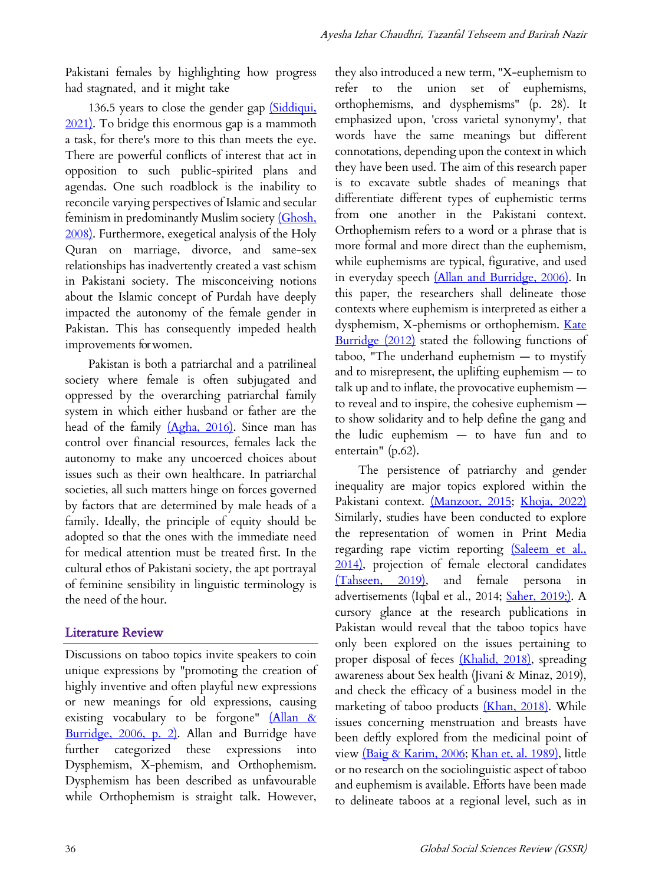Pakistani females by highlighting how progress had stagnated, and it might take

136.5 years to close the gender gap *(Siddiqui*, 2021). To bridge this enormous gap is a mammoth a task, for there's more to this than meets the eye. There are powerful conflicts of interest that act in opposition to such public-spirited plans and agendas. One such roadblock is the inability to reconcile varying perspectives of Islamic and secular feminism in predominantly Muslim society (Ghosh, 2008). Furthermore, exegetical analysis of the Holy Quran on marriage, divorce, and same-sex relationships has inadvertently created a vast schism in Pakistani society. The misconceiving notions about the Islamic concept of Purdah have deeply impacted the autonomy of the female gender in Pakistan. This has consequently impeded health improvements for women.

Pakistan is both a patriarchal and a patrilineal society where female is often subjugated and oppressed by the overarching patriarchal family system in which either husband or father are the head of the family (Agha, 2016). Since man has control over financial resources, females lack the autonomy to make any uncoerced choices about issues such as their own healthcare. In patriarchal societies, all such matters hinge on forces governed by factors that are determined by male heads of a family. Ideally, the principle of equity should be adopted so that the ones with the immediate need for medical attention must be treated first. In the cultural ethos of Pakistani society, the apt portrayal of feminine sensibility in linguistic terminology is the need of the hour.

#### Literature Review

Discussions on taboo topics invite speakers to coin unique expressions by "promoting the creation of highly inventive and often playful new expressions or new meanings for old expressions, causing existing vocabulary to be forgone" (Allan & Burridge, 2006, p. 2). Allan and Burridge have further categorized these expressions into Dysphemism, X-phemism, and Orthophemism. Dysphemism has been described as unfavourable while Orthophemism is straight talk. However, they also introduced a new term, "X-euphemism to refer to the union set of euphemisms, orthophemisms, and dysphemisms" (p. 28). It emphasized upon, 'cross varietal synonymy', that words have the same meanings but different connotations, depending upon the context in which they have been used. The aim of this research paper is to excavate subtle shades of meanings that differentiate different types of euphemistic terms from one another in the Pakistani context. Orthophemism refers to a word or a phrase that is more formal and more direct than the euphemism, while euphemisms are typical, figurative, and used in everyday speech (Allan and Burridge, 2006). In this paper, the researchers shall delineate those contexts where euphemism is interpreted as either a dysphemism, X-phemisms or orthophemism. Kate Burridge (2012) stated the following functions of taboo, "The underhand euphemism — to mystify and to misrepresent, the uplifting euphemism — to talk up and to inflate, the provocative euphemism to reveal and to inspire, the cohesive euphemism to show solidarity and to help define the gang and the ludic euphemism — to have fun and to entertain" (p.62).

The persistence of patriarchy and gender inequality are major topics explored within the Pakistani context. (Manzoor, 2015; Khoja, 2022) Similarly, studies have been conducted to explore the representation of women in Print Media regarding rape victim reporting (Saleem et al., 2014), projection of female electoral candidates (Tahseen, 2019), and female persona in advertisements (Iqbal et al., 2014; Saher, 2019;). A cursory glance at the research publications in Pakistan would reveal that the taboo topics have only been explored on the issues pertaining to proper disposal of feces (Khalid, 2018), spreading awareness about Sex health (Jivani & Minaz, 2019), and check the efficacy of a business model in the marketing of taboo products (Khan, 2018). While issues concerning menstruation and breasts have been deftly explored from the medicinal point of view (Baig & Karim, 2006; Khan et, al. 1989), little or no research on the sociolinguistic aspect of taboo and euphemism is available. Efforts have been made to delineate taboos at a regional level, such as in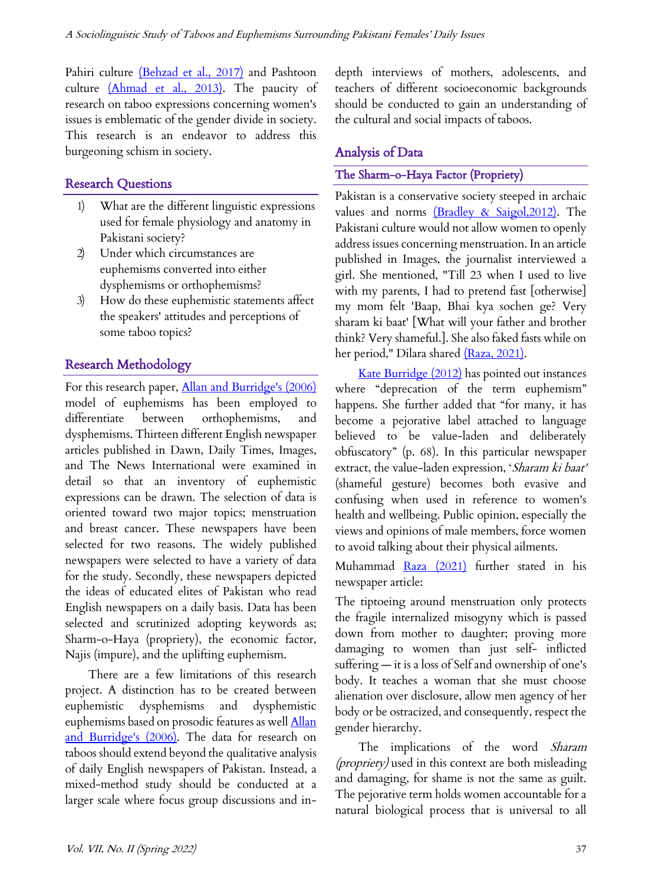Pahiri culture (Behzad et al., 2017) and Pashtoon culture (Ahmad et al., 2013). The paucity of research on taboo expressions concerning women's issues is emblematic of the gender divide in society. This research is an endeavor to address this burgeoning schism in society.

## Research Questions

- 1) What are the different linguistic expressions used for female physiology and anatomy in Pakistani society?
- 2) Under which circumstances are euphemisms converted into either dysphemisms or orthophemisms?
- 3) How do these euphemistic statements affect the speakers' attitudes and perceptions of some taboo topics?

## Research Methodology

For this research paper, Allan and Burridge's (2006) model of euphemisms has been employed to differentiate between orthophemisms, and dysphemisms. Thirteen different English newspaper articles published in Dawn, Daily Times, Images, and The News International were examined in detail so that an inventory of euphemistic expressions can be drawn. The selection of data is oriented toward two major topics; menstruation and breast cancer. These newspapers have been selected for two reasons. The widely published newspapers were selected to have a variety of data for the study. Secondly, these newspapers depicted the ideas of educated elites of Pakistan who read English newspapers on a daily basis. Data has been selected and scrutinized adopting keywords as; Sharm-o-Haya (propriety), the economic factor, Najis (impure), and the uplifting euphemism.

There are a few limitations of this research project. A distinction has to be created between euphemistic dysphemisms and dysphemistic euphemisms based on prosodic features as well **Allan** and Burridge's (2006). The data for research on taboos should extend beyond the qualitative analysis of daily English newspapers of Pakistan. Instead, a mixed-method study should be conducted at a larger scale where focus group discussions and indepth interviews of mothers, adolescents, and teachers of different socioeconomic backgrounds should be conducted to gain an understanding of the cultural and social impacts of taboos.

## Analysis of Data

### The Sharm-o-Haya Factor (Propriety)

Pakistan is a conservative society steeped in archaic values and norms (Bradley & Saigol, 2012). The Pakistani culture would not allow women to openly address issues concerning menstruation. In an article published in Images, the journalist interviewed a girl. She mentioned, "Till 23 when I used to live with my parents, I had to pretend fast [otherwise] my mom felt 'Baap, Bhai kya sochen ge? Very sharam ki baat' [What will your father and brother think? Very shameful.]. She also faked fasts while on her period," Dilara shared (Raza, 2021).

Kate Burridge (2012) has pointed out instances where "deprecation of the term euphemism" happens. She further added that "for many, it has become a pejorative label attached to language believed to be value-laden and deliberately obfuscatory" (p. 68). In this particular newspaper extract, the value-laden expression, 'Sharam ki baat' (shameful gesture) becomes both evasive and confusing when used in reference to women's health and wellbeing. Public opinion, especially the views and opinions of male members, force women to avoid talking about their physical ailments.

Muhammad Raza (2021) further stated in his newspaper article:

The tiptoeing around menstruation only protects the fragile internalized misogyny which is passed down from mother to daughter; proving more damaging to women than just self- inflicted suffering — it is a loss of Self and ownership of one's body. It teaches a woman that she must choose alienation over disclosure, allow men agency of her body or be ostracized, and consequently, respect the gender hierarchy.

The implications of the word Sharam (propriety) used in this context are both misleading and damaging, for shame is not the same as guilt. The pejorative term holds women accountable for a natural biological process that is universal to all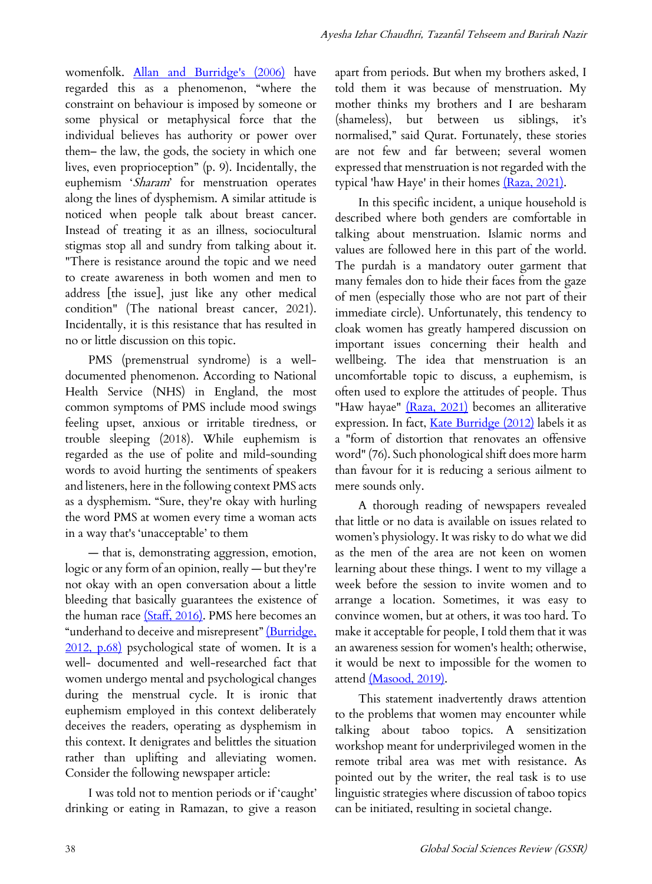womenfolk. Allan and Burridge's (2006) have regarded this as a phenomenon, "where the constraint on behaviour is imposed by someone or some physical or metaphysical force that the individual believes has authority or power over them– the law, the gods, the society in which one lives, even proprioception" (p. 9). Incidentally, the euphemism 'Sharam' for menstruation operates along the lines of dysphemism. A similar attitude is noticed when people talk about breast cancer. Instead of treating it as an illness, sociocultural stigmas stop all and sundry from talking about it. "There is resistance around the topic and we need to create awareness in both women and men to address [the issue], just like any other medical condition" (The national breast cancer, 2021). Incidentally, it is this resistance that has resulted in no or little discussion on this topic.

PMS (premenstrual syndrome) is a welldocumented phenomenon. According to National Health Service (NHS) in England, the most common symptoms of PMS include mood swings feeling upset, anxious or irritable tiredness, or trouble sleeping (2018). While euphemism is regarded as the use of polite and mild-sounding words to avoid hurting the sentiments of speakers and listeners, here in the following context PMS acts as a dysphemism. "Sure, they're okay with hurling the word PMS at women every time a woman acts in a way that's 'unacceptable' to them

— that is, demonstrating aggression, emotion, logic or any form of an opinion, really — but they're not okay with an open conversation about a little bleeding that basically guarantees the existence of the human race (Staff, 2016). PMS here becomes an "underhand to deceive and misrepresent" (Burridge, 2012, p.68) psychological state of women. It is a well- documented and well-researched fact that women undergo mental and psychological changes during the menstrual cycle. It is ironic that euphemism employed in this context deliberately deceives the readers, operating as dysphemism in this context. It denigrates and belittles the situation rather than uplifting and alleviating women. Consider the following newspaper article:

I was told not to mention periods or if 'caught' drinking or eating in Ramazan, to give a reason

apart from periods. But when my brothers asked, I told them it was because of menstruation. My mother thinks my brothers and I are besharam (shameless), but between us siblings, it's normalised," said Qurat. Fortunately, these stories are not few and far between; several women expressed that menstruation is not regarded with the typical 'haw Haye' in their homes (Raza, 2021).

In this specific incident, a unique household is described where both genders are comfortable in talking about menstruation. Islamic norms and values are followed here in this part of the world. The purdah is a mandatory outer garment that many females don to hide their faces from the gaze of men (especially those who are not part of their immediate circle). Unfortunately, this tendency to cloak women has greatly hampered discussion on important issues concerning their health and wellbeing. The idea that menstruation is an uncomfortable topic to discuss, a euphemism, is often used to explore the attitudes of people. Thus "Haw hayae" (Raza, 2021) becomes an alliterative expression. In fact, Kate Burridge (2012) labels it as a "form of distortion that renovates an offensive word" (76). Such phonological shift does more harm than favour for it is reducing a serious ailment to mere sounds only.

A thorough reading of newspapers revealed that little or no data is available on issues related to women's physiology. It was risky to do what we did as the men of the area are not keen on women learning about these things. I went to my village a week before the session to invite women and to arrange a location. Sometimes, it was easy to convince women, but at others, it was too hard. To make it acceptable for people, I told them that it was an awareness session for women's health; otherwise, it would be next to impossible for the women to attend (Masood, 2019).

This statement inadvertently draws attention to the problems that women may encounter while talking about taboo topics. A sensitization workshop meant for underprivileged women in the remote tribal area was met with resistance. As pointed out by the writer, the real task is to use linguistic strategies where discussion of taboo topics can be initiated, resulting in societal change.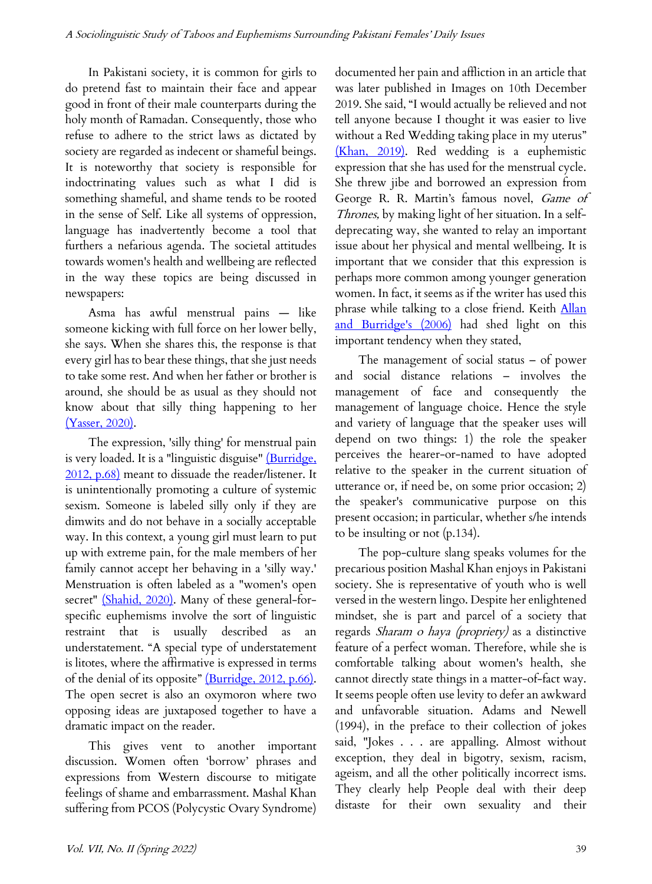In Pakistani society, it is common for girls to do pretend fast to maintain their face and appear good in front of their male counterparts during the holy month of Ramadan. Consequently, those who refuse to adhere to the strict laws as dictated by society are regarded as indecent or shameful beings. It is noteworthy that society is responsible for indoctrinating values such as what I did is something shameful, and shame tends to be rooted in the sense of Self. Like all systems of oppression, language has inadvertently become a tool that furthers a nefarious agenda. The societal attitudes towards women's health and wellbeing are reflected in the way these topics are being discussed in newspapers:

Asma has awful menstrual pains — like someone kicking with full force on her lower belly, she says. When she shares this, the response is that every girl has to bear these things, that she just needs to take some rest. And when her father or brother is around, she should be as usual as they should not know about that silly thing happening to her (Yasser, 2020).

The expression, 'silly thing' for menstrual pain is very loaded. It is a "linguistic disguise" (Burridge, 2012, p.68) meant to dissuade the reader/listener. It is unintentionally promoting a culture of systemic sexism. Someone is labeled silly only if they are dimwits and do not behave in a socially acceptable way. In this context, a young girl must learn to put up with extreme pain, for the male members of her family cannot accept her behaving in a 'silly way.' Menstruation is often labeled as a "women's open secret" (Shahid, 2020). Many of these general-forspecific euphemisms involve the sort of linguistic restraint that is usually described as an understatement. "A special type of understatement is litotes, where the affirmative is expressed in terms of the denial of its opposite" (Burridge, 2012, p.66). The open secret is also an oxymoron where two opposing ideas are juxtaposed together to have a dramatic impact on the reader.

This gives vent to another important discussion. Women often 'borrow' phrases and expressions from Western discourse to mitigate feelings of shame and embarrassment. Mashal Khan suffering from PCOS (Polycystic Ovary Syndrome) documented her pain and affliction in an article that was later published in Images on 10th December 2019. She said, "I would actually be relieved and not tell anyone because I thought it was easier to live without a Red Wedding taking place in my uterus" (Khan, 2019). Red wedding is a euphemistic expression that she has used for the menstrual cycle. She threw jibe and borrowed an expression from George R. R. Martin's famous novel, Game of Thrones, by making light of her situation. In a selfdeprecating way, she wanted to relay an important issue about her physical and mental wellbeing. It is important that we consider that this expression is perhaps more common among younger generation women. In fact, it seems as if the writer has used this phrase while talking to a close friend. Keith **Allan** and Burridge's (2006) had shed light on this important tendency when they stated,

The management of social status – of power and social distance relations – involves the management of face and consequently the management of language choice. Hence the style and variety of language that the speaker uses will depend on two things: 1) the role the speaker perceives the hearer-or-named to have adopted relative to the speaker in the current situation of utterance or, if need be, on some prior occasion; 2) the speaker's communicative purpose on this present occasion; in particular, whether s/he intends to be insulting or not (p.134).

The pop-culture slang speaks volumes for the precarious position Mashal Khan enjoys in Pakistani society. She is representative of youth who is well versed in the western lingo. Despite her enlightened mindset, she is part and parcel of a society that regards Sharam o haya (propriety) as a distinctive feature of a perfect woman. Therefore, while she is comfortable talking about women's health, she cannot directly state things in a matter-of-fact way. It seems people often use levity to defer an awkward and unfavorable situation. Adams and Newell (1994), in the preface to their collection of jokes said, "Jokes . . . are appalling. Almost without exception, they deal in bigotry, sexism, racism, ageism, and all the other politically incorrect isms. They clearly help People deal with their deep distaste for their own sexuality and their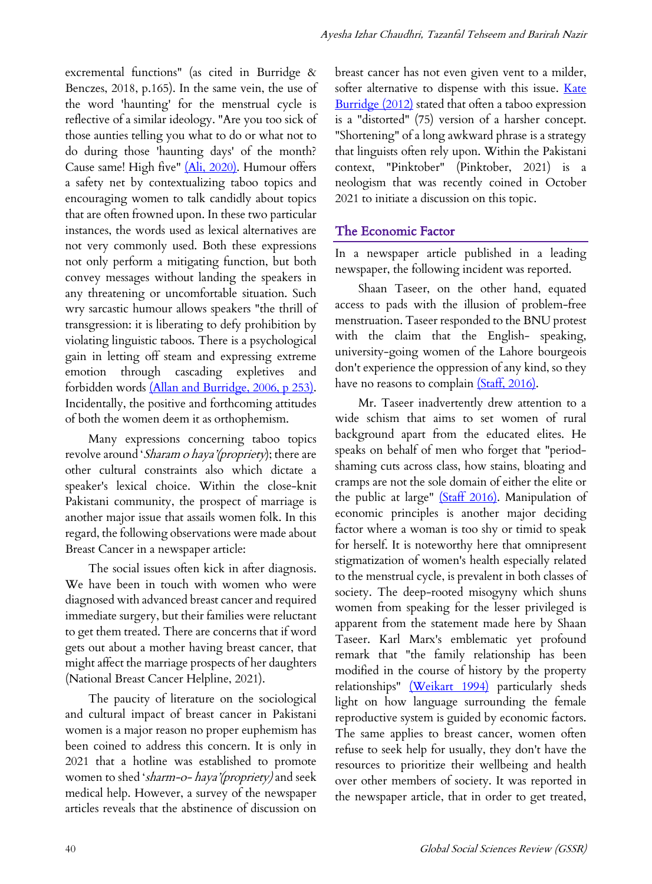excremental functions" (as cited in Burridge & Benczes, 2018, p.165). In the same vein, the use of the word 'haunting' for the menstrual cycle is reflective of a similar ideology. "Are you too sick of those aunties telling you what to do or what not to do during those 'haunting days' of the month? Cause same! High five" (Ali, 2020). Humour offers a safety net by contextualizing taboo topics and encouraging women to talk candidly about topics that are often frowned upon. In these two particular instances, the words used as lexical alternatives are not very commonly used. Both these expressions not only perform a mitigating function, but both convey messages without landing the speakers in any threatening or uncomfortable situation. Such wry sarcastic humour allows speakers "the thrill of transgression: it is liberating to defy prohibition by violating linguistic taboos. There is a psychological gain in letting off steam and expressing extreme emotion through cascading expletives and forbidden words (Allan and Burridge, 2006, p 253). Incidentally, the positive and forthcoming attitudes of both the women deem it as orthophemism.

Many expressions concerning taboo topics revolve around 'Sharam o haya'(propriety); there are other cultural constraints also which dictate a speaker's lexical choice. Within the close-knit Pakistani community, the prospect of marriage is another major issue that assails women folk. In this regard, the following observations were made about Breast Cancer in a newspaper article:

The social issues often kick in after diagnosis. We have been in touch with women who were diagnosed with advanced breast cancer and required immediate surgery, but their families were reluctant to get them treated. There are concerns that if word gets out about a mother having breast cancer, that might affect the marriage prospects of her daughters (National Breast Cancer Helpline, 2021).

The paucity of literature on the sociological and cultural impact of breast cancer in Pakistani women is a major reason no proper euphemism has been coined to address this concern. It is only in 2021 that a hotline was established to promote women to shed 'sharm-o- haya'(propriety) and seek medical help. However, a survey of the newspaper articles reveals that the abstinence of discussion on

breast cancer has not even given vent to a milder, softer alternative to dispense with this issue. Kate Burridge (2012) stated that often a taboo expression is a "distorted" (75) version of a harsher concept. "Shortening" of a long awkward phrase is a strategy that linguists often rely upon. Within the Pakistani context, "Pinktober" (Pinktober, 2021) is a neologism that was recently coined in October 2021 to initiate a discussion on this topic.

#### The Economic Factor

In a newspaper article published in a leading newspaper, the following incident was reported.

Shaan Taseer, on the other hand, equated access to pads with the illusion of problem-free menstruation. Taseer responded to the BNU protest with the claim that the English- speaking, university-going women of the Lahore bourgeois don't experience the oppression of any kind, so they have no reasons to complain (Staff, 2016).

Mr. Taseer inadvertently drew attention to a wide schism that aims to set women of rural background apart from the educated elites. He speaks on behalf of men who forget that "periodshaming cuts across class, how stains, bloating and cramps are not the sole domain of either the elite or the public at large" (Staff 2016). Manipulation of economic principles is another major deciding factor where a woman is too shy or timid to speak for herself. It is noteworthy here that omnipresent stigmatization of women's health especially related to the menstrual cycle, is prevalent in both classes of society. The deep-rooted misogyny which shuns women from speaking for the lesser privileged is apparent from the statement made here by Shaan Taseer. Karl Marx's emblematic yet profound remark that "the family relationship has been modified in the course of history by the property relationships" (Weikart 1994) particularly sheds light on how language surrounding the female reproductive system is guided by economic factors. The same applies to breast cancer, women often refuse to seek help for usually, they don't have the resources to prioritize their wellbeing and health over other members of society. It was reported in the newspaper article, that in order to get treated,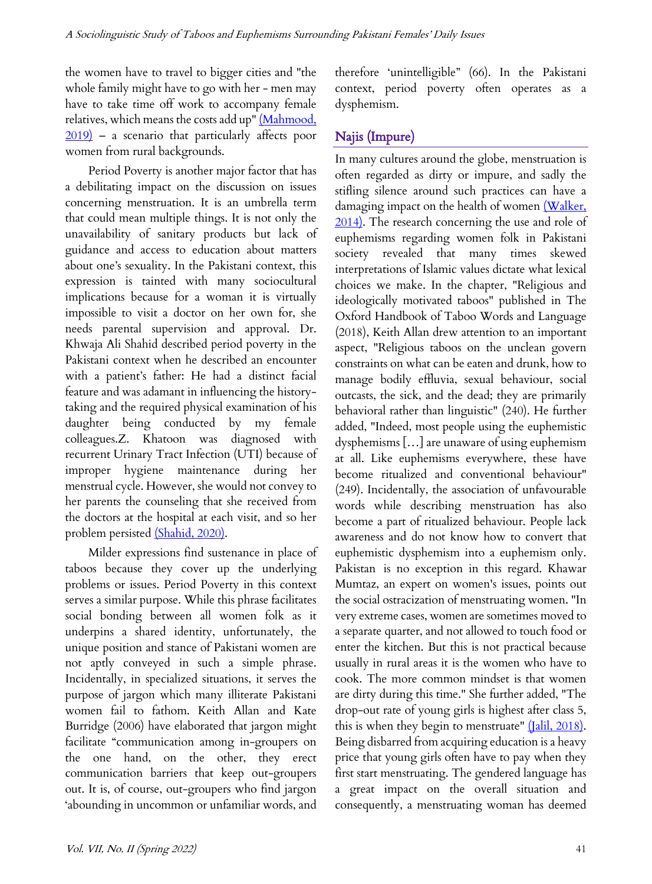the women have to travel to bigger cities and "the whole family might have to go with her - men may have to take time off work to accompany female relatives, which means the costs add up" (Mahmood,  $2019$  – a scenario that particularly affects poor women from rural backgrounds.

Period Poverty is another major factor that has a debilitating impact on the discussion on issues concerning menstruation. It is an umbrella term that could mean multiple things. It is not only the unavailability of sanitary products but lack of guidance and access to education about matters about one's sexuality. In the Pakistani context, this expression is tainted with many sociocultural implications because for a woman it is virtually impossible to visit a doctor on her own for, she needs parental supervision and approval. Dr. Khwaja Ali Shahid described period poverty in the Pakistani context when he described an encounter with a patient's father: He had a distinct facial feature and was adamant in influencing the historytaking and the required physical examination of his daughter being conducted by my female colleagues.Z. Khatoon was diagnosed with recurrent Urinary Tract Infection (UTI) because of improper hygiene maintenance during her menstrual cycle. However, she would not convey to her parents the counseling that she received from the doctors at the hospital at each visit, and so her problem persisted (Shahid, 2020).

Milder expressions find sustenance in place of taboos because they cover up the underlying problems or issues. Period Poverty in this context serves a similar purpose. While this phrase facilitates social bonding between all women folk as it underpins a shared identity, unfortunately, the unique position and stance of Pakistani women are not aptly conveyed in such a simple phrase. Incidentally, in specialized situations, it serves the purpose of jargon which many illiterate Pakistani women fail to fathom. Keith Allan and Kate Burridge (2006) have elaborated that jargon might facilitate "communication among in-groupers on the one hand, on the other, they erect communication barriers that keep out-groupers out. It is, of course, out-groupers who find jargon 'abounding in uncommon or unfamiliar words, and therefore 'unintelligible" (66). In the Pakistani context, period poverty often operates as a dysphemism.

## Najis (Impure)

In many cultures around the globe, menstruation is often regarded as dirty or impure, and sadly the stifling silence around such practices can have a damaging impact on the health of women (Walker, 2014). The research concerning the use and role of euphemisms regarding women folk in Pakistani society revealed that many times skewed interpretations of Islamic values dictate what lexical choices we make. In the chapter, "Religious and ideologically motivated taboos" published in The Oxford Handbook of Taboo Words and Language (2018), Keith Allan drew attention to an important aspect, "Religious taboos on the unclean govern constraints on what can be eaten and drunk, how to manage bodily effluvia, sexual behaviour, social outcasts, the sick, and the dead; they are primarily behavioral rather than linguistic" (240). He further added, "Indeed, most people using the euphemistic dysphemisms […] are unaware of using euphemism at all. Like euphemisms everywhere, these have become ritualized and conventional behaviour" (249). Incidentally, the association of unfavourable words while describing menstruation has also become a part of ritualized behaviour. People lack awareness and do not know how to convert that euphemistic dysphemism into a euphemism only. Pakistan is no exception in this regard. Khawar Mumtaz, an expert on women's issues, points out the social ostracization of menstruating women. "In very extreme cases, women are sometimes moved to a separate quarter, and not allowed to touch food or enter the kitchen. But this is not practical because usually in rural areas it is the women who have to cook. The more common mindset is that women are dirty during this time." She further added, "The drop-out rate of young girls is highest after class 5, this is when they begin to menstruate"  $(Ialil, 2018)$ . Being disbarred from acquiring education is a heavy price that young girls often have to pay when they first start menstruating. The gendered language has a great impact on the overall situation and consequently, a menstruating woman has deemed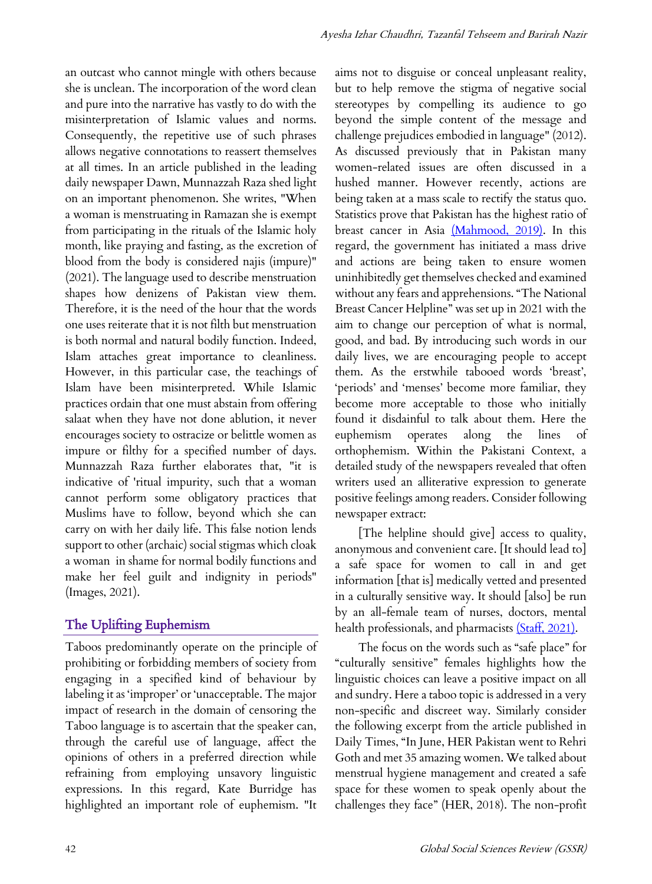an outcast who cannot mingle with others because she is unclean. The incorporation of the word clean and pure into the narrative has vastly to do with the misinterpretation of Islamic values and norms. Consequently, the repetitive use of such phrases allows negative connotations to reassert themselves at all times. In an article published in the leading daily newspaper Dawn, Munnazzah Raza shed light on an important phenomenon. She writes, "When a woman is menstruating in Ramazan she is exempt from participating in the rituals of the Islamic holy month, like praying and fasting, as the excretion of blood from the body is considered najis (impure)" (2021). The language used to describe menstruation shapes how denizens of Pakistan view them. Therefore, it is the need of the hour that the words one uses reiterate that it is not filth but menstruation is both normal and natural bodily function. Indeed, Islam attaches great importance to cleanliness. However, in this particular case, the teachings of Islam have been misinterpreted. While Islamic practices ordain that one must abstain from offering salaat when they have not done ablution, it never encourages society to ostracize or belittle women as impure or filthy for a specified number of days. Munnazzah Raza further elaborates that, "it is indicative of 'ritual impurity, such that a woman cannot perform some obligatory practices that Muslims have to follow, beyond which she can carry on with her daily life. This false notion lends support to other (archaic) social stigmas which cloak a woman in shame for normal bodily functions and make her feel guilt and indignity in periods" (Images, 2021).

# The Uplifting Euphemism

Taboos predominantly operate on the principle of prohibiting or forbidding members of society from engaging in a specified kind of behaviour by labeling it as 'improper' or 'unacceptable. The major impact of research in the domain of censoring the Taboo language is to ascertain that the speaker can, through the careful use of language, affect the opinions of others in a preferred direction while refraining from employing unsavory linguistic expressions. In this regard, Kate Burridge has highlighted an important role of euphemism. "It aims not to disguise or conceal unpleasant reality, but to help remove the stigma of negative social stereotypes by compelling its audience to go beyond the simple content of the message and challenge prejudices embodied in language" (2012). As discussed previously that in Pakistan many women-related issues are often discussed in a hushed manner. However recently, actions are being taken at a mass scale to rectify the status quo. Statistics prove that Pakistan has the highest ratio of breast cancer in Asia (Mahmood, 2019). In this regard, the government has initiated a mass drive and actions are being taken to ensure women uninhibitedly get themselves checked and examined without any fears and apprehensions. "The National Breast Cancer Helpline" was set up in 2021 with the aim to change our perception of what is normal, good, and bad. By introducing such words in our daily lives, we are encouraging people to accept them. As the erstwhile tabooed words 'breast', 'periods' and 'menses' become more familiar, they become more acceptable to those who initially found it disdainful to talk about them. Here the euphemism operates along the lines of orthophemism. Within the Pakistani Context, a detailed study of the newspapers revealed that often writers used an alliterative expression to generate positive feelings among readers. Consider following newspaper extract:

[The helpline should give] access to quality, anonymous and convenient care. [It should lead to] a safe space for women to call in and get information [that is] medically vetted and presented in a culturally sensitive way. It should [also] be run by an all-female team of nurses, doctors, mental health professionals, and pharmacists (Staff, 2021).

The focus on the words such as "safe place" for "culturally sensitive" females highlights how the linguistic choices can leave a positive impact on all and sundry. Here a taboo topic is addressed in a very non-specific and discreet way. Similarly consider the following excerpt from the article published in Daily Times, "In June, HER Pakistan went to Rehri Goth and met 35 amazing women. We talked about menstrual hygiene management and created a safe space for these women to speak openly about the challenges they face" (HER, 2018). The non-profit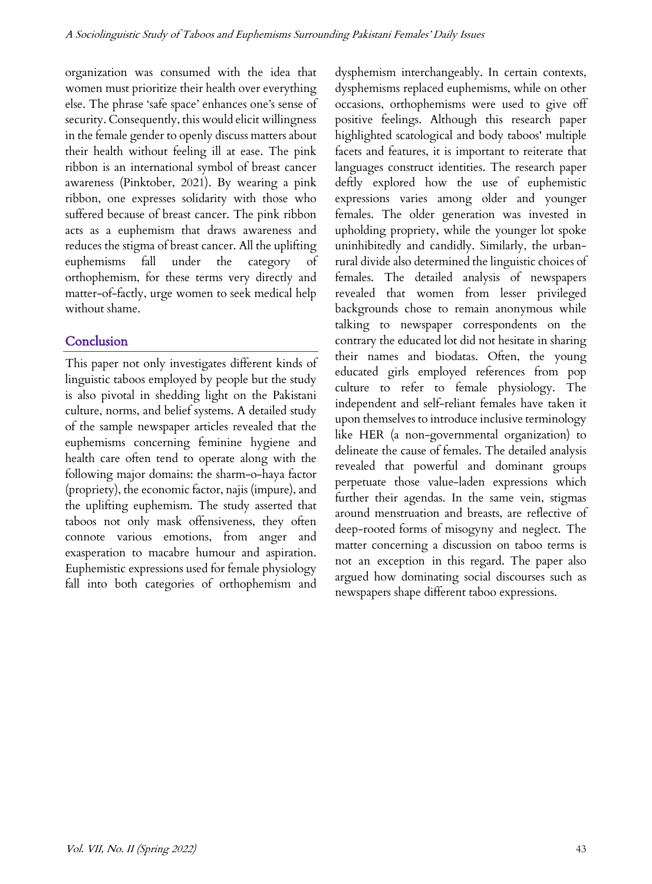organization was consumed with the idea that women must prioritize their health over everything else. The phrase 'safe space' enhances one's sense of security. Consequently, this would elicit willingness in the female gender to openly discuss matters about their health without feeling ill at ease. The pink ribbon is an international symbol of breast cancer awareness (Pinktober, 2021). By wearing a pink ribbon, one expresses solidarity with those who suffered because of breast cancer. The pink ribbon acts as a euphemism that draws awareness and reduces the stigma of breast cancer. All the uplifting euphemisms fall under the category of orthophemism, for these terms very directly and matter-of-factly, urge women to seek medical help without shame.

#### **Conclusion**

This paper not only investigates different kinds of linguistic taboos employed by people but the study is also pivotal in shedding light on the Pakistani culture, norms, and belief systems. A detailed study of the sample newspaper articles revealed that the euphemisms concerning feminine hygiene and health care often tend to operate along with the following major domains: the sharm-o-haya factor (propriety), the economic factor, najis (impure), and the uplifting euphemism. The study asserted that taboos not only mask offensiveness, they often connote various emotions, from anger and exasperation to macabre humour and aspiration. Euphemistic expressions used for female physiology fall into both categories of orthophemism and dysphemism interchangeably. In certain contexts, dysphemisms replaced euphemisms, while on other occasions, orthophemisms were used to give off positive feelings. Although this research paper highlighted scatological and body taboos' multiple facets and features, it is important to reiterate that languages construct identities. The research paper deftly explored how the use of euphemistic expressions varies among older and younger females. The older generation was invested in upholding propriety, while the younger lot spoke uninhibitedly and candidly. Similarly, the urbanrural divide also determined the linguistic choices of females. The detailed analysis of newspapers revealed that women from lesser privileged backgrounds chose to remain anonymous while talking to newspaper correspondents on the contrary the educated lot did not hesitate in sharing their names and biodatas. Often, the young educated girls employed references from pop culture to refer to female physiology. The independent and self-reliant females have taken it upon themselves to introduce inclusive terminology like HER (a non-governmental organization) to delineate the cause of females. The detailed analysis revealed that powerful and dominant groups perpetuate those value-laden expressions which further their agendas. In the same vein, stigmas around menstruation and breasts, are reflective of deep-rooted forms of misogyny and neglect. The matter concerning a discussion on taboo terms is not an exception in this regard. The paper also argued how dominating social discourses such as newspapers shape different taboo expressions.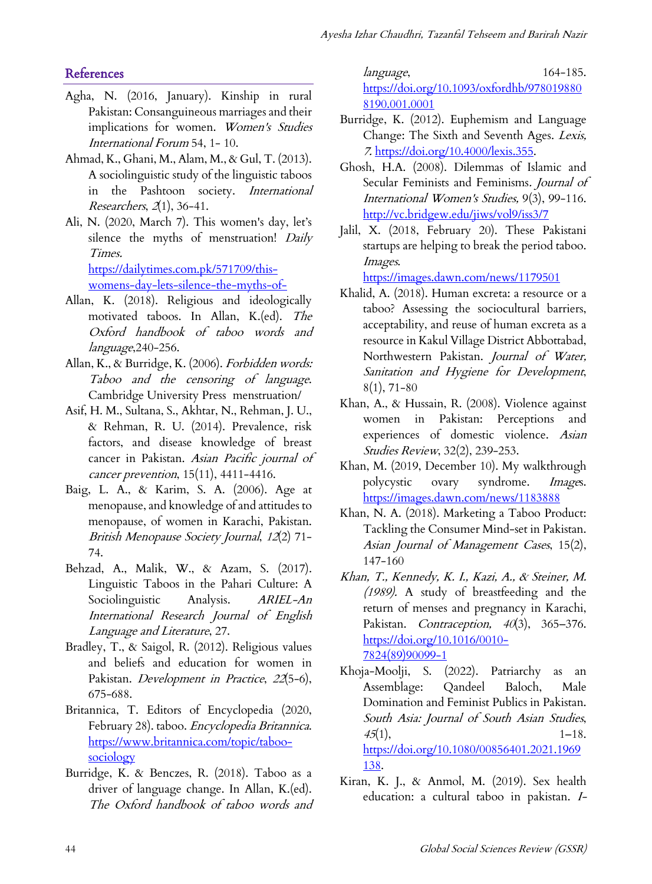# **References**

- Agha, N. (2016, January). Kinship in rural Pakistan: Consanguineous marriages and their implications for women. Women's Studies International Forum 54, 1- 10.
- Ahmad, K., Ghani, M., Alam, M., & Gul, T. (2013). A sociolinguistic study of the linguistic taboos in the Pashtoon society. International Researchers,  $2(1)$ , 36-41.
- Ali, N. (2020, March 7). This women's day, let's silence the myths of menstruation! Daily Times. https://dailytimes.com.pk/571709/this-

womens-day-lets-silence-the-myths-of-

- Allan, K. (2018). Religious and ideologically motivated taboos. In Allan, K.(ed). The Oxford handbook of taboo words and language,240-256.
- Allan, K., & Burridge, K. (2006). Forbidden words: Taboo and the censoring of language. Cambridge University Press menstruation/
- Asif, H. M., Sultana, S., Akhtar, N., Rehman, J. U., & Rehman, R. U. (2014). Prevalence, risk factors, and disease knowledge of breast cancer in Pakistan. Asian Pacific journal of cancer prevention, 15(11), 4411-4416.
- Baig, L. A., & Karim, S. A. (2006). Age at menopause, and knowledge of and attitudes to menopause, of women in Karachi, Pakistan. British Menopause Society Journal, 12(2) 71- 74.
- Behzad, A., Malik, W., & Azam, S. (2017). Linguistic Taboos in the Pahari Culture: A Sociolinguistic Analysis. ARIEL-An International Research Journal of English Language and Literature, 27.
- Bradley, T., & Saigol, R. (2012). Religious values and beliefs and education for women in Pakistan. Development in Practice, 22(5-6), 675-688.
- Britannica, T. Editors of Encyclopedia (2020, February 28). taboo. Encyclopedia Britannica. https://www.britannica.com/topic/taboosociology
- Burridge, K. & Benczes, R. (2018). Taboo as a driver of language change. In Allan, K.(ed). The Oxford handbook of taboo words and

language, 164-185. https://doi.org/10.1093/oxfordhb/978019880 8190.001.0001

- Burridge, K. (2012). Euphemism and Language Change: The Sixth and Seventh Ages. Lexis, 7. https://doi.org/10.4000/lexis.355.
- Ghosh, H.A. (2008). Dilemmas of Islamic and Secular Feminists and Feminisms. Journal of International Women's Studies, 9(3), 99-116. http://vc.bridgew.edu/jiws/vol9/iss3/7
- Jalil, X. (2018, February 20). These Pakistani startups are helping to break the period taboo. Images.

https://images.dawn.com/news/1179501

- Khalid, A. (2018). Human excreta: a resource or a taboo? Assessing the sociocultural barriers, acceptability, and reuse of human excreta as a resource in Kakul Village District Abbottabad, Northwestern Pakistan. Journal of Water, Sanitation and Hygiene for Development, 8(1), 71-80
- Khan, A., & Hussain, R. (2008). Violence against women in Pakistan: Perceptions and experiences of domestic violence. Asian Studies Review, 32(2), 239-253.
- Khan, M. (2019, December 10). My walkthrough polycystic ovary syndrome. Images. https://images.dawn.com/news/1183888
- Khan, N. A. (2018). Marketing a Taboo Product: Tackling the Consumer Mind-set in Pakistan. Asian Journal of Management Cases, 15(2), 147-160
- Khan, T., Kennedy, K. I., Kazi, A., & Steiner, M. (1989). A study of breastfeeding and the return of menses and pregnancy in Karachi, Pakistan. Contraception,  $40(3)$ , 365–376. https://doi.org/10.1016/0010- 7824(89)90099-1
- Khoja-Moolji, S. (2022). Patriarchy as an Assemblage: Qandeel Baloch, Male Domination and Feminist Publics in Pakistan. South Asia: Journal of South Asian Studies,  $45(1),$  1–18. https://doi.org/10.1080/00856401.2021.1969 138.
- Kiran, K. J., & Anmol, M. (2019). Sex health education: a cultural taboo in pakistan. I-